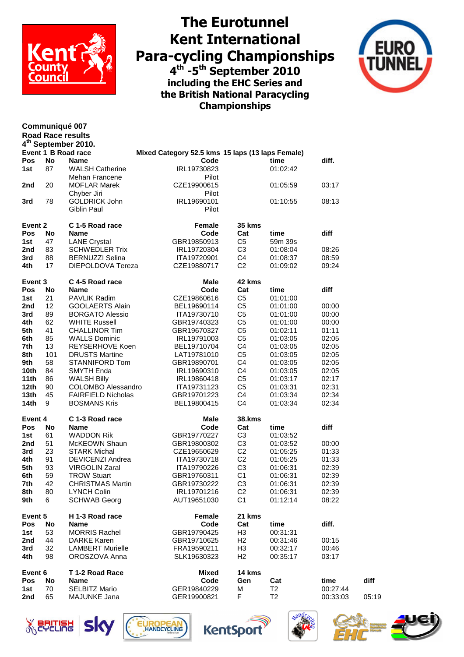

**Communiqué 007**

## **The Eurotunnel Kent International Para-cycling Championships 4 th -5 th September 2010 including the EHC Series and the British National Paracycling Championships**



|         |     | <b>Road Race results</b>        |                                                  |                |                |          |       |
|---------|-----|---------------------------------|--------------------------------------------------|----------------|----------------|----------|-------|
|         |     | 4 <sup>th</sup> September 2010. |                                                  |                |                |          |       |
|         |     | <b>Event 1 B Road race</b>      | Mixed Category 52.5 kms 15 laps (13 laps Female) |                |                |          |       |
| Pos     | No  | <b>Name</b>                     | Code                                             |                | time           | diff.    |       |
| 1st     | 87  | <b>WALSH Catherine</b>          | IRL19730823                                      |                | 01:02:42       |          |       |
|         |     | Mehan Francene                  | Pilot                                            |                |                |          |       |
| 2nd     | 20  | <b>MOFLAR Marek</b>             | CZE19900615                                      |                | 01:05:59       | 03:17    |       |
|         |     | Chyber Jiri                     | Pilot                                            |                |                |          |       |
| 3rd     | 78  | <b>GOLDRICK John</b>            | IRL19690101                                      |                | 01:10:55       | 08:13    |       |
|         |     | Giblin Paul                     | Pilot                                            |                |                |          |       |
| Event 2 |     | C 1-5 Road race                 | <b>Female</b>                                    | <b>35 kms</b>  |                |          |       |
| Pos     | No  | <b>Name</b>                     | Code                                             | Cat            | time           | diff     |       |
| 1st     | 47  | <b>LANE Crystal</b>             | GBR19850913                                      | C <sub>5</sub> | 59m 39s        |          |       |
| 2nd     | 83  | <b>SCHWEDLER Trix</b>           | IRL19720304                                      | C <sub>3</sub> | 01:08:04       | 08:26    |       |
| 3rd     | 88  | <b>BERNUZZI Selina</b>          | ITA19720901                                      | C <sub>4</sub> | 01:08:37       | 08:59    |       |
| 4th     | 17  | DIEPOLDOVA Tereza               | CZE19880717                                      | C <sub>2</sub> | 01:09:02       | 09:24    |       |
| Event 3 |     | C 4-5 Road race                 | <b>Male</b>                                      | 42 kms         |                |          |       |
| Pos     | No  | <b>Name</b>                     | Code                                             | Cat            | time           | diff     |       |
| 1st     | 21  | PAVLIK Radim                    | CZE19860616                                      | C <sub>5</sub> | 01:01:00       |          |       |
| 2nd     | 12  | <b>GOOLAERTS Alain</b>          | BEL19690114                                      | C <sub>5</sub> | 01:01:00       | 00:00    |       |
| 3rd     | 89  | <b>BORGATO Alessio</b>          | ITA19730710                                      | C <sub>5</sub> | 01:01:00       | 00:00    |       |
| 4th     | 62  | <b>WHITE Russell</b>            | GBR19740323                                      | C <sub>5</sub> | 01:01:00       | 00:00    |       |
| 5th     | 41  | <b>CHALLINOR Tim</b>            | GBR19670327                                      | C <sub>5</sub> | 01:02:11       | 01:11    |       |
| 6th     | 85  | <b>WALLS Dominic</b>            | IRL19791003                                      | C <sub>5</sub> | 01:03:05       | 02:05    |       |
| 7th     | 13  | <b>REYSERHOVE Koen</b>          | BEL19710704                                      | C <sub>4</sub> | 01:03:05       | 02:05    |       |
| 8th     | 101 | <b>DRUSTS Martine</b>           | LAT19781010                                      | C <sub>5</sub> | 01:03:05       | 02:05    |       |
| 9th     | 58  | <b>STANNIFORD Tom</b>           | GBR19890701                                      | C <sub>4</sub> | 01:03:05       | 02:05    |       |
| 10th    | 84  | SMYTH Enda                      | IRL19690310                                      | C <sub>4</sub> | 01:03:05       | 02:05    |       |
| 11th    | 86  | <b>WALSH Billy</b>              | IRL19860418                                      | C <sub>5</sub> | 01:03:17       | 02:17    |       |
| 12th    | 90  | <b>COLOMBO Alessandro</b>       | ITA19731123                                      | C <sub>5</sub> | 01:03:31       | 02:31    |       |
| 13th    | 45  | <b>FAIRFIELD Nicholas</b>       | GBR19701223                                      | C <sub>4</sub> | 01:03:34       | 02:34    |       |
| 14th    | 9   | <b>BOSMANS Kris</b>             | BEL19800415                                      | C <sub>4</sub> | 01:03:34       | 02:34    |       |
|         |     |                                 |                                                  |                |                |          |       |
| Event 4 |     | C 1-3 Road race                 | Male                                             | <b>38.kms</b>  |                |          |       |
| Pos     | No  | <b>Name</b>                     | Code                                             | Cat            | time           | diff     |       |
| 1st     | 61  | <b>WADDON Rik</b>               | GBR19770227                                      | C <sub>3</sub> | 01:03:52       |          |       |
| 2nd     | 51  | McKEOWN Shaun                   | GBR19800302                                      | C <sub>3</sub> | 01:03:52       | 00:00    |       |
| 3rd     | 23  | <b>STARK Michal</b>             | CZE19650629                                      | C <sub>2</sub> | 01:05:25       | 01:33    |       |
| 4th     | 91  | <b>DEVICENZI Andrea</b>         | ITA19730718                                      | C <sub>2</sub> | 01:05:25       | 01:33    |       |
| 5th     | 93  | <b>VIRGOLIN Zaral</b>           | ITA19790226                                      | C <sub>3</sub> | 01:06:31       | 02:39    |       |
| 6th     | 59  | <b>TROW Stuart</b>              | GBR19760311                                      | C <sub>1</sub> | 01:06:31       | 02:39    |       |
| 7th     | 42  | <b>CHRISTMAS Martin</b>         | GBR19730222                                      | C <sub>3</sub> | 01:06:31       | 02:39    |       |
| 8th     | 80  | <b>LYNCH Colin</b>              | IRL19701216                                      | C <sub>2</sub> | 01:06:31       | 02:39    |       |
| 9th     | 6   | <b>SCHWAB Georg</b>             | AUT19651030                                      | C <sub>1</sub> | 01:12:14       | 08:22    |       |
| Event 5 |     | H 1-3 Road race                 | <b>Female</b>                                    | 21 kms         |                |          |       |
| Pos     | No  | <b>Name</b>                     | Code                                             | Cat            | time           | diff.    |       |
| 1st     | 53  | <b>MORRIS Rachel</b>            | GBR19790425                                      | H <sub>3</sub> | 00:31:31       |          |       |
| 2nd     | 44  | <b>DARKE Karen</b>              | GBR19710625                                      | H <sub>2</sub> | 00:31:46       | 00:15    |       |
| 3rd     | 32  | <b>LAMBERT Murielle</b>         | FRA19590211                                      | H <sub>3</sub> | 00:32:17       | 00:46    |       |
| 4th     | 98  | OROSZOVA Anna                   | SLK19630323                                      | H2             | 00:35:17       | 03:17    |       |
| Event 6 |     | T 1-2 Road Race                 | <b>Mixed</b>                                     | 14 kms         |                |          |       |
| Pos     | No  | <b>Name</b>                     | Code                                             | Gen            | Cat            | time     | diff  |
| 1st     | 70  | <b>SELBITZ Mario</b>            | GER19840229                                      | M              | T <sub>2</sub> | 00:27:44 |       |
| 2nd     | 65  | MAJUNKE Jana                    | GER19900821                                      | F              | T <sub>2</sub> | 00:33:03 | 05:19 |









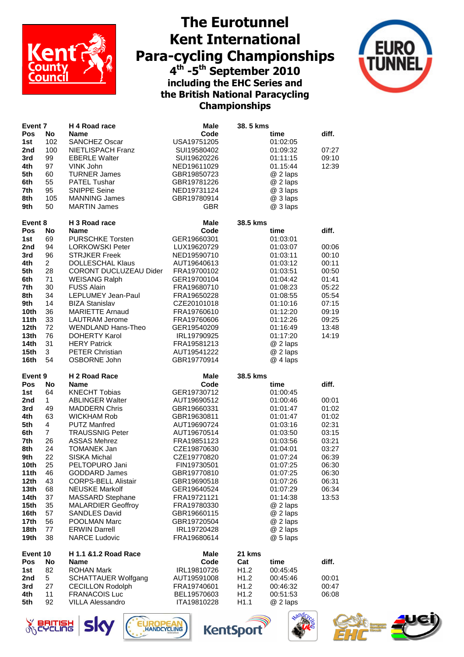

## **The Eurotunnel Kent International Para-cycling Championships 4 th -5 th September 2010 including the EHC Series and the British National Paracycling Championships**



| Event <sub>7</sub> |                | H 4 Road race<br><b>Male</b>                    |                            | 38.5 kms                 |                      |       |
|--------------------|----------------|-------------------------------------------------|----------------------------|--------------------------|----------------------|-------|
| Pos                | No             | <b>Name</b>                                     | Code                       |                          | time                 | diff. |
| 1st                | 102            | <b>SANCHEZ Oscar</b>                            | USA19751205                |                          | 01:02:05             |       |
| 2nd                | 100            | NIETLISPACH Franz                               | SUI19580402                |                          | 01:09:32             | 07:27 |
| 3rd                | 99             | <b>EBERLE Walter</b>                            | SUI19620226                |                          | 01:11:15             | 09:10 |
| 4th                | 97             | VINK John                                       | NED19611029                |                          | 01.15:44             | 12:39 |
| 5th                | 60             | <b>TURNER James</b>                             | GBR19850723                |                          | @ 2 laps             |       |
| 6th                | 55             | PATEL Tushar                                    | GBR19781226                |                          | @ 2 laps             |       |
| 7th                | 95             | <b>SNIPPE Seine</b>                             | NED19731124                |                          | @ 3 laps             |       |
| 8th                | 105            | <b>MANNING James</b>                            | GBR19780914                |                          | @ 3 laps             |       |
| 9th                | 50             | <b>MARTIN James</b>                             | <b>GBR</b>                 |                          | @ 3 laps             |       |
| Event 8            |                | H 3 Road race                                   | <b>Male</b>                | 38.5 kms                 |                      |       |
| Pos                | No             | <b>Name</b>                                     | Code                       |                          | time                 | diff. |
| 1st                | 69             | <b>PURSCHKE Torsten</b>                         | GER19660301                |                          | 01:03:01             |       |
| 2nd                | 94             | <b>LORKOWSKI Peter</b>                          | LUX19620729                |                          | 01:03:07             | 00:06 |
| 3rd                | 96             | <b>STRJKER Freek</b>                            | NED19590710                |                          | 01:03:11             | 00:10 |
| 4th                | $\overline{2}$ | <b>DOLLESCHAL Klaus</b>                         | AUT19640613                |                          | 01:03:12             | 00:11 |
| 5th                | 28             | CORONT DUCLUZEAU Dider                          | FRA19700102                |                          | 01:03:51             | 00:50 |
| 6th                | 71             | <b>WEISANG Ralph</b>                            | GER19700104                |                          | 01:04:42             | 01:41 |
| 7th                | 30             | <b>FUSS Alain</b>                               | FRA19680710                |                          | 01:08:23             | 05:22 |
| 8th                | 34             | LEPLUMEY Jean-Paul                              | FRA19650228                |                          | 01:08:55             | 05:54 |
| 9th                | 14             | <b>BIZA Stanislav</b>                           | CZE20101018                |                          | 01:10:16             | 07:15 |
| 10th               | 36             | <b>MARIETTE Arnaud</b>                          | FRA19760610                |                          | 01:12:20             | 09:19 |
| 11th               | 33             | <b>LAUTRAM Jerome</b>                           | FRA19760606                |                          | 01:12:26             | 09:25 |
| 12 <sub>th</sub>   | 72             | <b>WENDLAND Hans-Theo</b>                       | GER19540209                |                          | 01:16:49             | 13:48 |
| 13th               | 76             | <b>DOHERTY Karol</b>                            | IRL19790925                |                          | 01:17:20             | 14:19 |
| 14th               | 31             | <b>HERY Patrick</b>                             | FRA19581213                |                          | @ 2 laps             |       |
| 15th               | 3              | <b>PETER Christian</b>                          | AUT19541222                |                          | @ 2 laps             |       |
| 16th               | 54             | OSBORNE John                                    | GBR19770914                |                          | @ 4 laps             |       |
|                    |                |                                                 |                            |                          |                      |       |
| Event 9            |                | H 2 Road Race                                   | Male                       | 38.5 kms                 |                      |       |
| Pos                | No             | <b>Name</b>                                     | Code                       |                          | time                 | diff. |
| 1st                | 64             | <b>KNECHT Tobias</b>                            | GER19730712                |                          | 01:00:45             |       |
| 2nd                | $\mathbf{1}$   | <b>ABLINGER Walter</b>                          | AUT19690512                |                          | 01:00:46             | 00:01 |
| 3rd                | 49             | <b>MADDERN Chris</b>                            | GBR19660331                |                          | 01:01:47             | 01:02 |
| 4th                | 63             | <b>WICKHAM Rob</b>                              | GBR19630811                |                          | 01:01:47             | 01:02 |
| 5th                | 4              | <b>PUTZ Manfred</b>                             | AUT19690724                |                          | 01:03:16             | 02:31 |
| 6th                | $\overline{7}$ | <b>TRAUSSNIG Peter</b>                          | AUT19670514                |                          | 01:03:50             | 03:15 |
| 7th                | 26             | <b>ASSAS Mehrez</b>                             | FRA19851123                |                          | 01:03:56             | 03:21 |
| 8th                | 24             | <b>TOMANEK Jan</b>                              | CZE19870630                |                          | 01:04:01             | 03:27 |
| 9th                | 22             | <b>SISKA Michal</b>                             | CZE19770820                |                          | 01:07:24             | 06:39 |
| 10th               | 25             | PELTOPURO Jani                                  | FIN19730501                |                          | 01:07:25             | 06:30 |
| 11th               | 46             | <b>GODDARD James</b>                            | GBR19770810                |                          | 01:07:25             | 06:30 |
| 12 <sub>th</sub>   | 43             | <b>CORPS-BELL Alistair</b>                      | GBR19690518                |                          | 01:07:26             | 06:31 |
| 13 <sub>th</sub>   | 68             | <b>NEUSKE Markolf</b>                           | GER19640524                |                          | 01:07:29             | 06:34 |
| 14th               | 37             | MASSARD Stephane                                | FRA19721121                |                          | 01:14:38             | 13:53 |
| 15 <sub>th</sub>   | 35             | <b>MALARDIER Geoffroy</b>                       | FRA19780330                |                          | @ 2 laps             |       |
| 16th               | 57             | <b>SANDLES David</b>                            | GBR19660115                |                          | @ 2 laps             |       |
| 17th               | 56             | POOLMAN Marc                                    | GBR19720504                |                          | @ 2 laps             |       |
| 18th               | 77             | <b>ERWIN Darrell</b>                            | IRL19720428                |                          | @ 2 laps             |       |
| 19th               | 38             | <b>NARCE Ludovic</b>                            | FRA19680614                |                          | @ 5 laps             |       |
| Event 10           |                | H 1.1 & 1.2 Road Race                           | <b>Male</b>                | 21 kms                   |                      |       |
| Pos                | No             | Name                                            | Code                       | Cat                      | time                 | diff. |
| 1st                | 82             | <b>ROHAN Mark</b>                               | IRL19810726                | H <sub>1.2</sub>         | 00:45:45             |       |
| 2nd                | 5              | <b>SCHATTAUER Wolfgang</b>                      | AUT19591008                | H1.2                     | 00:45:46             | 00:01 |
| 3rd                | 27             | <b>CECILLON Rodolph</b>                         | FRA19740601                | H <sub>1.2</sub>         | 00:46:32             | 00:47 |
| 4th<br>5th         | 11<br>92       | <b>FRANACOIS Luc</b><br><b>VILLA Alessandro</b> | BEL19570603<br>ITA19810228 | H1.2<br>H <sub>1.1</sub> | 00:51:53<br>@ 2 laps | 06:08 |